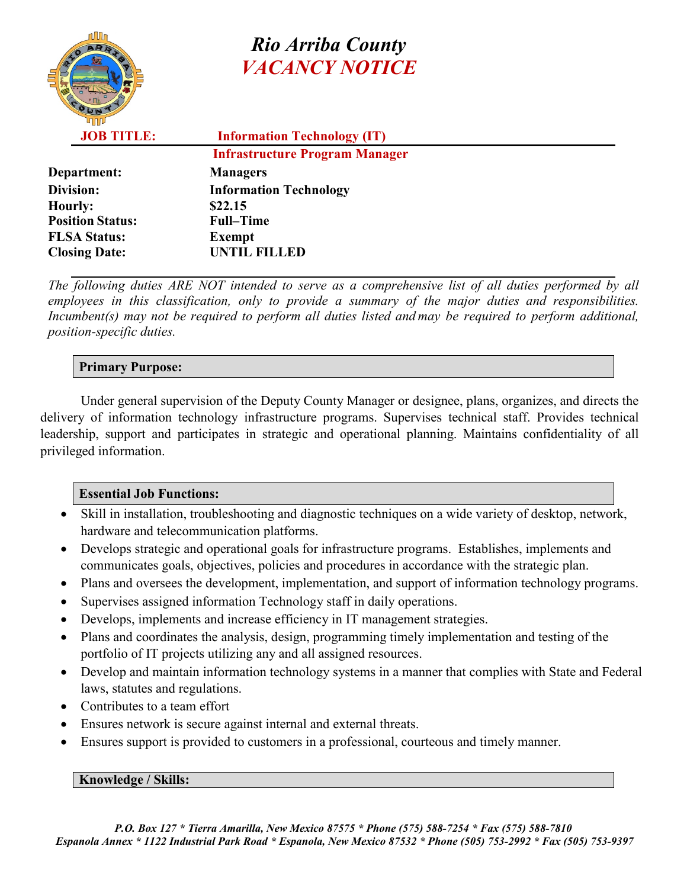# *Rio Arriba County VACANCY NOTICE*

**JOB TITLE: Information Technology (IT) Infrastructure Program Manager**

|                         | <u>11111 would welche e 1 tout with 1918.</u> |
|-------------------------|-----------------------------------------------|
| Department:             | <b>Managers</b>                               |
| Division:               | <b>Information Technology</b>                 |
| <b>Hourly:</b>          | \$22.15                                       |
| <b>Position Status:</b> | <b>Full-Time</b>                              |
| <b>FLSA Status:</b>     | <b>Exempt</b>                                 |
| <b>Closing Date:</b>    | <b>UNTIL FILLED</b>                           |
|                         |                                               |

*The following duties ARE NOT intended to serve as a comprehensive list of all duties performed by all employees in this classification, only to provide a summary of the major duties and responsibilities. Incumbent(s) may not be required to perform all duties listed and may be required to perform additional, position-specific duties.*

### **Primary Purpose:**

Under general supervision of the Deputy County Manager or designee, plans, organizes, and directs the delivery of information technology infrastructure programs. Supervises technical staff. Provides technical leadership, support and participates in strategic and operational planning. Maintains confidentiality of all privileged information.

### **Essential Job Functions:**

- Skill in installation, troubleshooting and diagnostic techniques on a wide variety of desktop, network, hardware and telecommunication platforms.
- Develops strategic and operational goals for infrastructure programs. Establishes, implements and communicates goals, objectives, policies and procedures in accordance with the strategic plan.
- Plans and oversees the development, implementation, and support of information technology programs.
- Supervises assigned information Technology staff in daily operations.
- Develops, implements and increase efficiency in IT management strategies.
- Plans and coordinates the analysis, design, programming timely implementation and testing of the portfolio of IT projects utilizing any and all assigned resources.
- Develop and maintain information technology systems in a manner that complies with State and Federal laws, statutes and regulations.
- Contributes to a team effort
- Ensures network is secure against internal and external threats.
- Ensures support is provided to customers in a professional, courteous and timely manner.

#### **Knowledge / Skills:**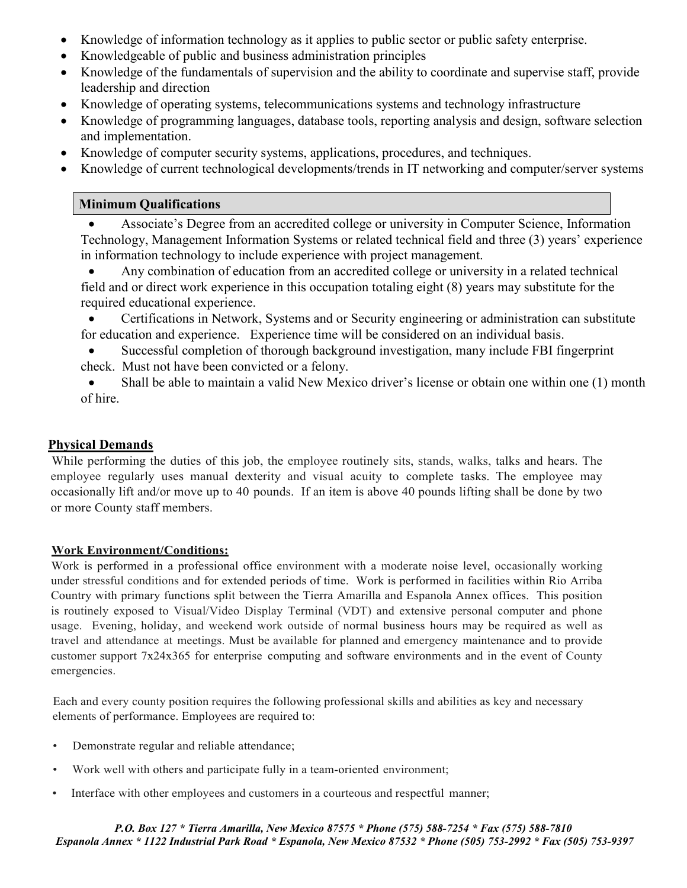- Knowledge of information technology as it applies to public sector or public safety enterprise.
- Knowledgeable of public and business administration principles
- Knowledge of the fundamentals of supervision and the ability to coordinate and supervise staff, provide leadership and direction
- Knowledge of operating systems, telecommunications systems and technology infrastructure
- Knowledge of programming languages, database tools, reporting analysis and design, software selection and implementation.
- Knowledge of computer security systems, applications, procedures, and techniques.
- Knowledge of current technological developments/trends in IT networking and computer/server systems

#### **Minimum Qualifications**

• Associate's Degree from an accredited college or university in Computer Science, Information Technology, Management Information Systems or related technical field and three (3) years' experience in information technology to include experience with project management.

• Any combination of education from an accredited college or university in a related technical field and or direct work experience in this occupation totaling eight (8) years may substitute for the required educational experience.

• Certifications in Network, Systems and or Security engineering or administration can substitute for education and experience. Experience time will be considered on an individual basis.

- Successful completion of thorough background investigation, many include FBI fingerprint
- check. Must not have been convicted or a felony.

• Shall be able to maintain a valid New Mexico driver's license or obtain one within one (1) month of hire.

#### **Physical Demands**

While performing the duties of this job, the employee routinely sits, stands, walks, talks and hears. The employee regularly uses manual dexterity and visual acuity to complete tasks. The employee may occasionally lift and/or move up to 40 pounds. If an item is above 40 pounds lifting shall be done by two or more County staff members.

#### **Work Environment/Conditions:**

Work is performed in a professional office environment with a moderate noise level, occasionally working under stressful conditions and for extended periods of time. Work is performed in facilities within Rio Arriba Country with primary functions split between the Tierra Amarilla and Espanola Annex offices. This position is routinely exposed to Visual/Video Display Terminal (VDT) and extensive personal computer and phone usage. Evening, holiday, and weekend work outside of normal business hours may be required as well as travel and attendance at meetings. Must be available for planned and emergency maintenance and to provide customer support 7x24x365 for enterprise computing and software environments and in the event of County emergencies.

Each and every county position requires the following professional skills and abilities as key and necessary elements of performance. Employees are required to:

- Demonstrate regular and reliable attendance;
- Work well with others and participate fully in a team-oriented environment;
- Interface with other employees and customers in a courteous and respectful manner;